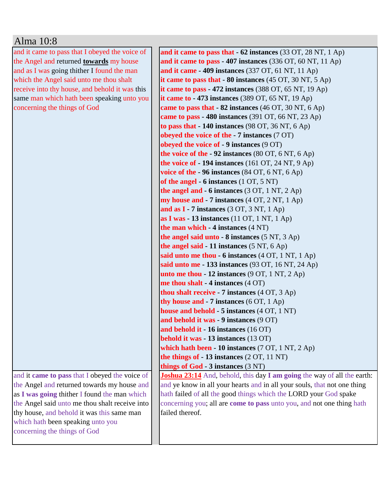## Alma 10:8

and it came to pass that I obeyed the voice of the Angel and returned **towards** my house and as I was going thither I found the man which the Angel said unto me thou shalt receive into thy house, and behold it was this same man which hath been speaking unto you concerning the things of God

and it **came to pass** that I obeyed the voice of the Angel and returned towards my house and as **I was going** thither I found the man which the Angel said unto me thou shalt receive into thy house, and behold it was this same man which hath been speaking unto you concerning the things of God

failed thereof.

**and it came to pass that - 62 instances** (33 OT, 28 NT, 1 Ap) **and it came to pass - 407 instances** (336 OT, 60 NT, 11 Ap) **and it came - 409 instances** (337 OT, 61 NT, 11 Ap) **it came to pass that - 80 instances** (45 OT, 30 NT, 5 Ap) **it came to pass - 472 instances** (388 OT, 65 NT, 19 Ap) **it came to - 473 instances** (389 OT, 65 NT, 19 Ap) **came to pass that - 82 instances** (46 OT, 30 NT, 6 Ap) **came to pass - 480 instances** (391 OT, 66 NT, 23 Ap) **to pass that - 140 instances** (98 OT, 36 NT, 6 Ap) **obeyed the voice of the - 7 instances** (7 OT) **obeyed the voice of - 9 instances** (9 OT) **the voice of the - 92 instances** (80 OT, 6 NT, 6 Ap) **the voice of - 194 instances** (161 OT, 24 NT, 9 Ap) **voice of the - 96 instances** (84 OT, 6 NT, 6 Ap) **of the angel - 6 instances** (1 OT, 5 NT) **the angel and - 6 instances** (3 OT, 1 NT, 2 Ap) **my house and - 7 instances** (4 OT, 2 NT, 1 Ap) **and as I - 7 instances** (3 OT, 3 NT, 1 Ap) **as I was - 13 instances** (11 OT, 1 NT, 1 Ap) **the man which - 4 instances** (4 NT) **the angel said unto - 8 instances** (5 NT, 3 Ap) **the angel said - 11 instances** (5 NT, 6 Ap) **said unto me thou - 6 instances** (4 OT, 1 NT, 1 Ap) **said unto me - 133 instances** (93 OT, 16 NT, 24 Ap) **unto me thou - 12 instances** (9 OT, 1 NT, 2 Ap) **me thou shalt - 4 instances** (4 OT) **thou shalt receive - 7 instances** (4 OT, 3 Ap) **thy house and - 7 instances** (6 OT, 1 Ap) **house and behold - 5 instances** (4 OT, 1 NT) **and behold it was - 9 instances** (9 OT) **and behold it - 16 instances** (16 OT) **behold it was - 13 instances** (13 OT) **which hath been - 10 instances** (7 OT, 1 NT, 2 Ap) **the things of - 13 instances** (2 OT, 11 NT) **things of God - 3 instances** (3 NT) **Joshua 23:14** And, behold, this day **I am going** the way of all the earth: and ye know in all your hearts and in all your souls, that not one thing hath failed of all the good things which the LORD your God spake concerning you; all are **come to pass** unto you, and not one thing hath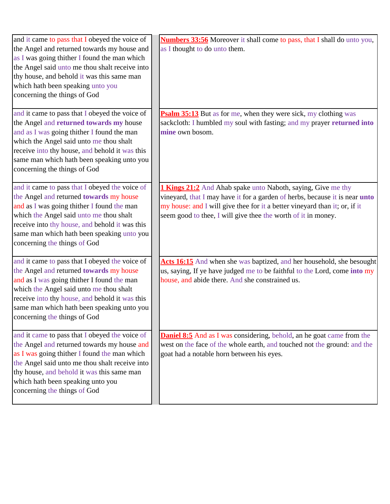| and it came to pass that I obeyed the voice of<br>the Angel and returned towards my house and<br>as I was going thither I found the man which<br>the Angel said unto me thou shalt receive into<br>thy house, and behold it was this same man<br>which hath been speaking unto you<br>concerning the things of God | <b>Numbers 33:56</b> Moreover it shall come to pass, that I shall do unto you,<br>as I thought to do unto them.                                                                                                                                                                                          |
|--------------------------------------------------------------------------------------------------------------------------------------------------------------------------------------------------------------------------------------------------------------------------------------------------------------------|----------------------------------------------------------------------------------------------------------------------------------------------------------------------------------------------------------------------------------------------------------------------------------------------------------|
| and it came to pass that I obeyed the voice of<br>the Angel and returned towards my house<br>and as I was going thither I found the man<br>which the Angel said unto me thou shalt<br>receive into thy house, and behold it was this<br>same man which hath been speaking unto you<br>concerning the things of God | <b>Psalm 35:13</b> But as for me, when they were sick, my clothing was<br>sackcloth: I humbled my soul with fasting; and my prayer returned into<br>mine own bosom.                                                                                                                                      |
| and it came to pass that I obeyed the voice of<br>the Angel and returned towards my house<br>and as I was going thither I found the man<br>which the Angel said unto me thou shalt<br>receive into thy house, and behold it was this<br>same man which hath been speaking unto you<br>concerning the things of God | <b>1 Kings 21:2</b> And Ahab spake unto Naboth, saying, Give me thy<br>vineyard, that I may have it for a garden of herbs, because it is near <b>unto</b><br>my house: and I will give thee for it a better vineyard than it; or, if it<br>seem good to thee, I will give thee the worth of it in money. |
| and it came to pass that I obeyed the voice of<br>the Angel and returned towards my house<br>and as I was going thither I found the man<br>which the Angel said unto me thou shalt<br>receive into thy house, and behold it was this<br>same man which hath been speaking unto you<br>concerning the things of God | Acts 16:15 And when she was baptized, and her household, she besought<br>us, saying, If ye have judged me to be faithful to the Lord, come into my<br>house, and abide there. And she constrained us.                                                                                                    |
| and it came to pass that I obeyed the voice of<br>the Angel and returned towards my house and<br>as I was going thither I found the man which<br>the Angel said unto me thou shalt receive into<br>thy house, and behold it was this same man<br>which hath been speaking unto you<br>concerning the things of God | <b>Daniel 8:5</b> And as I was considering, behold, an he goat came from the<br>west on the face of the whole earth, and touched not the ground: and the<br>goat had a notable horn between his eyes.                                                                                                    |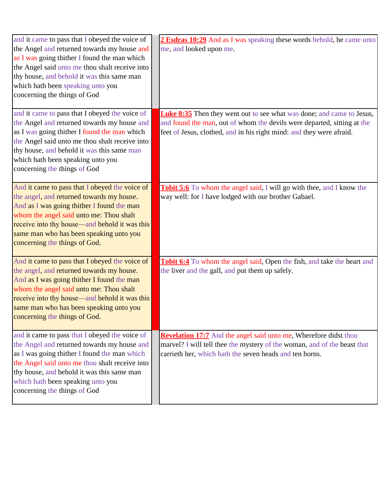| and it came to pass that I obeyed the voice of<br>the Angel and returned towards my house and<br>as I was going thither I found the man which<br>the Angel said unto me thou shalt receive into<br>thy house, and behold it was this same man<br>which hath been speaking unto you<br>concerning the things of God | 2 Esdras 10:29 And as I was speaking these words behold, he came unto<br>me, and looked upon me.                                                                                                                                |
|--------------------------------------------------------------------------------------------------------------------------------------------------------------------------------------------------------------------------------------------------------------------------------------------------------------------|---------------------------------------------------------------------------------------------------------------------------------------------------------------------------------------------------------------------------------|
| and it came to pass that I obeyed the voice of<br>the Angel and returned towards my house and<br>as I was going thither I found the man which<br>the Angel said unto me thou shalt receive into<br>thy house, and behold it was this same man<br>which hath been speaking unto you<br>concerning the things of God | <b>Luke 8:35</b> Then they went out to see what was done; and came to Jesus,<br>and found the man, out of whom the devils were departed, sitting at the<br>feet of Jesus, clothed, and in his right mind: and they were afraid. |
| And it came to pass that I obeyed the voice of<br>the angel, and returned towards my house.<br>And as I was going thither I found the man<br>whom the angel said unto me: Thou shalt<br>receive into thy house—and behold it was this<br>same man who has been speaking unto you<br>concerning the things of God.  | Tobit 5:6 To whom the angel said, I will go with thee, and I know the<br>way well: for I have lodged with our brother Gabael.                                                                                                   |
| And it came to pass that I obeyed the voice of<br>the angel, and returned towards my house.<br>And as I was going thither I found the man<br>whom the angel said unto me: Thou shalt<br>receive into thy house—and behold it was this<br>same man who has been speaking unto you<br>concerning the things of God.  | Tobit 6:4 To whom the angel said, Open the fish, and take the heart and<br>the liver and the gall, and put them up safely.                                                                                                      |
| and it came to pass that I obeyed the voice of<br>the Angel and returned towards my house and<br>as I was going thither I found the man which<br>the Angel said unto me thou shalt receive into<br>thy house, and behold it was this same man<br>which hath been speaking unto you<br>concerning the things of God | <b>Revelation 17:7</b> And the angel said unto me, Wherefore didst thou<br>marvel? I will tell thee the mystery of the woman, and of the beast that<br>carrieth her, which hath the seven heads and ten horns.                  |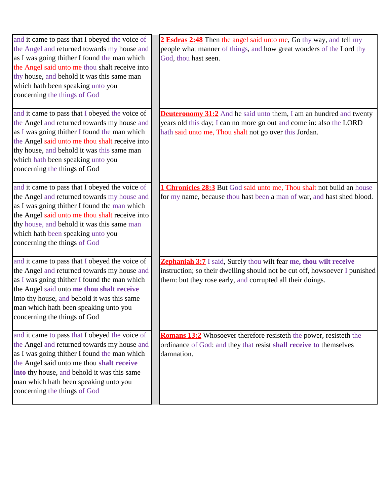| and it came to pass that I obeyed the voice of<br>the Angel and returned towards my house and<br>as I was going thither I found the man which<br>the Angel said unto me thou shalt receive into<br>thy house, and behold it was this same man<br>which hath been speaking unto you<br>concerning the things of God | 2 Esdras 2:48 Then the angel said unto me, Go thy way, and tell my<br>people what manner of things, and how great wonders of the Lord thy<br>God, thou hast seen.                                             |
|--------------------------------------------------------------------------------------------------------------------------------------------------------------------------------------------------------------------------------------------------------------------------------------------------------------------|---------------------------------------------------------------------------------------------------------------------------------------------------------------------------------------------------------------|
| and it came to pass that I obeyed the voice of<br>the Angel and returned towards my house and<br>as I was going thither I found the man which<br>the Angel said unto me thou shalt receive into<br>thy house, and behold it was this same man<br>which hath been speaking unto you<br>concerning the things of God | <b>Deuteronomy 31:2</b> And he said unto them, I am an hundred and twenty<br>years old this day; I can no more go out and come in: also the LORD<br>hath said unto me, Thou shalt not go over this Jordan.    |
| and it came to pass that I obeyed the voice of<br>the Angel and returned towards my house and<br>as I was going thither I found the man which<br>the Angel said unto me thou shalt receive into<br>thy house, and behold it was this same man<br>which hath been speaking unto you<br>concerning the things of God | 1 Chronicles 28:3 But God said unto me, Thou shalt not build an house<br>for my name, because thou hast been a man of war, and hast shed blood.                                                               |
| and it came to pass that I obeyed the voice of<br>the Angel and returned towards my house and<br>as I was going thither I found the man which<br>the Angel said unto me thou shalt receive<br>into thy house, and behold it was this same<br>man which hath been speaking unto you<br>concerning the things of God | Zephaniah 3:7 I said, Surely thou wilt fear me, thou wilt receive<br>instruction; so their dwelling should not be cut off, howsoever I punished<br>them: but they rose early, and corrupted all their doings. |
| and it came to pass that I obeyed the voice of<br>the Angel and returned towards my house and<br>as I was going thither I found the man which<br>the Angel said unto me thou shalt receive<br>into thy house, and behold it was this same<br>man which hath been speaking unto you<br>concerning the things of God | <b>Romans 13:2</b> Whosoever therefore resisteth the power, resisteth the<br>ordinance of God: and they that resist shall receive to themselves<br>damnation.                                                 |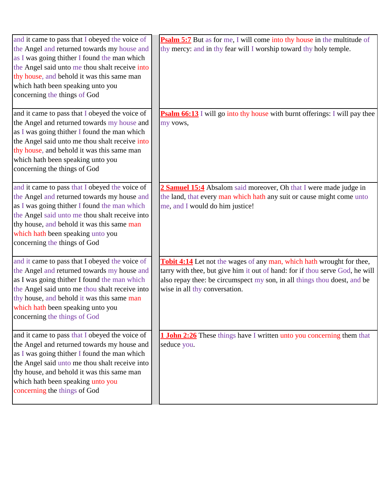| and it came to pass that I obeyed the voice of                                               | <b>Psalm 5:7</b> But as for me, I will come into thy house in the multitude of |
|----------------------------------------------------------------------------------------------|--------------------------------------------------------------------------------|
| the Angel and returned towards my house and                                                  | thy mercy: and in thy fear will I worship toward thy holy temple.              |
| as I was going thither I found the man which                                                 |                                                                                |
| the Angel said unto me thou shalt receive into                                               |                                                                                |
| thy house, and behold it was this same man                                                   |                                                                                |
| which hath been speaking unto you                                                            |                                                                                |
| concerning the things of God                                                                 |                                                                                |
|                                                                                              |                                                                                |
| and it came to pass that I obeyed the voice of                                               | Psalm 66:13 I will go into thy house with burnt offerings: I will pay thee     |
| the Angel and returned towards my house and                                                  | my vows,                                                                       |
| as I was going thither I found the man which                                                 |                                                                                |
| the Angel said unto me thou shalt receive into                                               |                                                                                |
| thy house, and behold it was this same man                                                   |                                                                                |
| which hath been speaking unto you                                                            |                                                                                |
| concerning the things of God                                                                 |                                                                                |
|                                                                                              |                                                                                |
| and it came to pass that I obeyed the voice of                                               | 2 Samuel 15:4 Absalom said moreover, Oh that I were made judge in              |
| the Angel and returned towards my house and                                                  | the land, that every man which hath any suit or cause might come unto          |
| as I was going thither I found the man which                                                 | me, and I would do him justice!                                                |
| the Angel said unto me thou shalt receive into                                               |                                                                                |
| thy house, and behold it was this same man                                                   |                                                                                |
| which hath been speaking unto you                                                            |                                                                                |
| concerning the things of God                                                                 |                                                                                |
|                                                                                              |                                                                                |
| and it came to pass that I obeyed the voice of                                               | Tobit 4:14 Let not the wages of any man, which hath wrought for thee,          |
| the Angel and returned towards my house and                                                  | tarry with thee, but give him it out of hand: for if thou serve God, he will   |
| as I was going thither I found the man which                                                 | also repay thee: be circumspect my son, in all things thou doest, and be       |
| the Angel said unto me thou shalt receive into<br>thy house, and behold it was this same man | wise in all thy conversation.                                                  |
| which hath been speaking unto you                                                            |                                                                                |
| concerning the things of God                                                                 |                                                                                |
|                                                                                              |                                                                                |
| and it came to pass that I obeyed the voice of                                               | <b>1 John 2:26</b> These things have I written unto you concerning them that   |
| the Angel and returned towards my house and                                                  | seduce you.                                                                    |
| as I was going thither I found the man which                                                 |                                                                                |
| the Angel said unto me thou shalt receive into                                               |                                                                                |
| thy house, and behold it was this same man                                                   |                                                                                |
| which hath been speaking unto you                                                            |                                                                                |
| concerning the things of God                                                                 |                                                                                |
|                                                                                              |                                                                                |